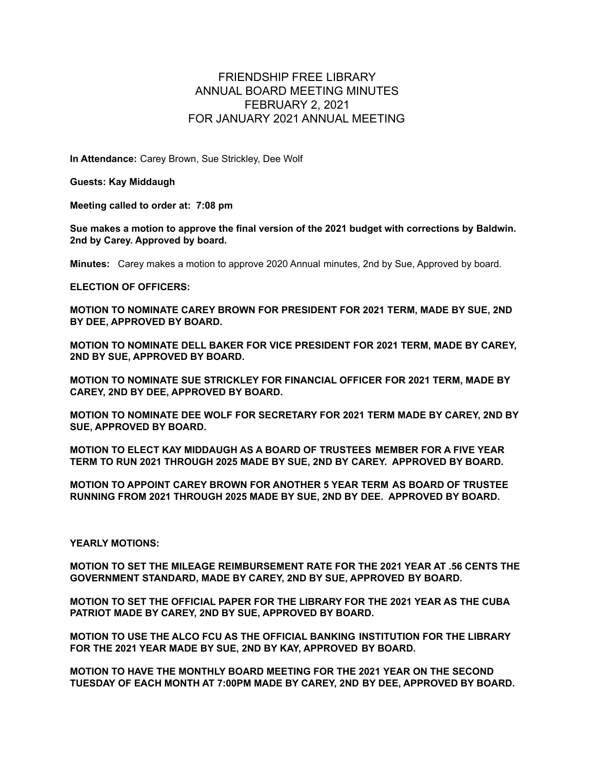## FRIENDSHIP FREE LIBRARY ANNUAL BOARD MEETING MINUTES FEBRUARY 2, 2021 FOR JANUARY 2021 ANNUAL MEETING

**In Attendance:** Carey Brown, Sue Strickley, Dee Wolf

**Guests: Kay Middaugh**

**Meeting called to order at: 7:08 pm**

**Sue makes a motion to approve the final version of the 2021 budget with corrections by Baldwin. 2nd by Carey. Approved by board.**

**Minutes:** Carey makes a motion to approve 2020 Annual minutes, 2nd by Sue, Approved by board.

**ELECTION OF OFFICERS:**

**MOTION TO NOMINATE CAREY BROWN FOR PRESIDENT FOR 2021 TERM, MADE BY SUE, 2ND BY DEE, APPROVED BY BOARD.**

**MOTION TO NOMINATE DELL BAKER FOR VICE PRESIDENT FOR 2021 TERM, MADE BY CAREY, 2ND BY SUE, APPROVED BY BOARD.**

**MOTION TO NOMINATE SUE STRICKLEY FOR FINANCIAL OFFICER FOR 2021 TERM, MADE BY CAREY, 2ND BY DEE, APPROVED BY BOARD.**

**MOTION TO NOMINATE DEE WOLF FOR SECRETARY FOR 2021 TERM MADE BY CAREY, 2ND BY SUE, APPROVED BY BOARD.**

**MOTION TO ELECT KAY MIDDAUGH AS A BOARD OF TRUSTEES MEMBER FOR A FIVE YEAR TERM TO RUN 2021 THROUGH 2025 MADE BY SUE, 2ND BY CAREY. APPROVED BY BOARD.**

**MOTION TO APPOINT CAREY BROWN FOR ANOTHER 5 YEAR TERM AS BOARD OF TRUSTEE RUNNING FROM 2021 THROUGH 2025 MADE BY SUE, 2ND BY DEE. APPROVED BY BOARD.**

**YEARLY MOTIONS:**

**MOTION TO SET THE MILEAGE REIMBURSEMENT RATE FOR THE 2021 YEAR AT .56 CENTS THE GOVERNMENT STANDARD, MADE BY CAREY, 2ND BY SUE, APPROVED BY BOARD.**

**MOTION TO SET THE OFFICIAL PAPER FOR THE LIBRARY FOR THE 2021 YEAR AS THE CUBA PATRIOT MADE BY CAREY, 2ND BY SUE, APPROVED BY BOARD.**

**MOTION TO USE THE ALCO FCU AS THE OFFICIAL BANKING INSTITUTION FOR THE LIBRARY FOR THE 2021 YEAR MADE BY SUE, 2ND BY KAY, APPROVED BY BOARD.**

**MOTION TO HAVE THE MONTHLY BOARD MEETING FOR THE 2021 YEAR ON THE SECOND TUESDAY OF EACH MONTH AT 7:00PM MADE BY CAREY, 2ND BY DEE, APPROVED BY BOARD.**